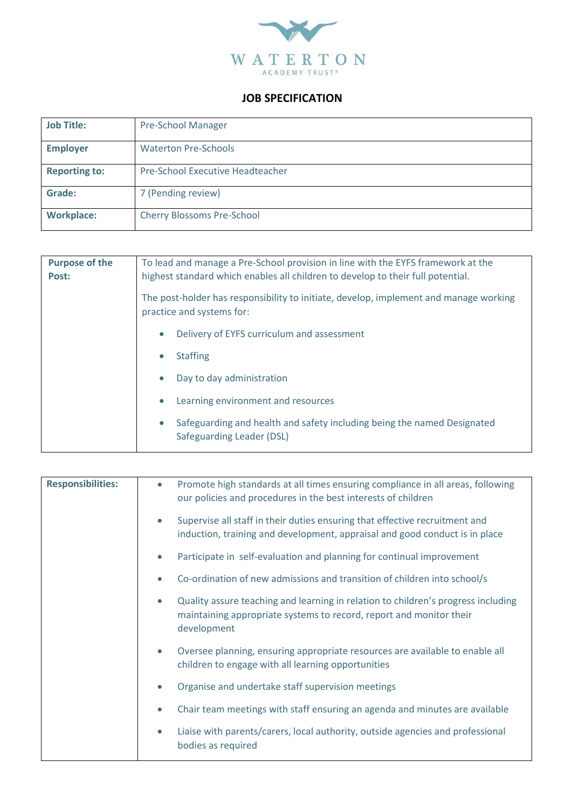

## **JOB SPECIFICATION**

| <b>Job Title:</b>    | <b>Pre-School Manager</b>         |
|----------------------|-----------------------------------|
| <b>Employer</b>      | <b>Waterton Pre-Schools</b>       |
| <b>Reporting to:</b> | Pre-School Executive Headteacher  |
| Grade:               | 7 (Pending review)                |
| <b>Workplace:</b>    | <b>Cherry Blossoms Pre-School</b> |

| <b>Purpose of the</b> | To lead and manage a Pre-School provision in line with the EYFS framework at the                                   |
|-----------------------|--------------------------------------------------------------------------------------------------------------------|
| Post:                 | highest standard which enables all children to develop to their full potential.                                    |
|                       | The post-holder has responsibility to initiate, develop, implement and manage working<br>practice and systems for: |
|                       | Delivery of EYFS curriculum and assessment<br>$\bullet$                                                            |
|                       | <b>Staffing</b><br>$\bullet$                                                                                       |
|                       | Day to day administration<br>$\bullet$                                                                             |
|                       | Learning environment and resources<br>$\bullet$                                                                    |
|                       | Safeguarding and health and safety including being the named Designated<br>$\bullet$<br>Safeguarding Leader (DSL)  |

| <b>Responsibilities:</b> | Promote high standards at all times ensuring compliance in all areas, following<br>$\bullet$<br>our policies and procedures in the best interests of children                        |
|--------------------------|--------------------------------------------------------------------------------------------------------------------------------------------------------------------------------------|
|                          | Supervise all staff in their duties ensuring that effective recruitment and<br>$\bullet$<br>induction, training and development, appraisal and good conduct is in place              |
|                          | Participate in self-evaluation and planning for continual improvement<br>$\bullet$                                                                                                   |
|                          | Co-ordination of new admissions and transition of children into school/s                                                                                                             |
|                          | Quality assure teaching and learning in relation to children's progress including<br>$\bullet$<br>maintaining appropriate systems to record, report and monitor their<br>development |
|                          | Oversee planning, ensuring appropriate resources are available to enable all<br>$\bullet$<br>children to engage with all learning opportunities                                      |
|                          | Organise and undertake staff supervision meetings                                                                                                                                    |
|                          | Chair team meetings with staff ensuring an agenda and minutes are available                                                                                                          |
|                          | Liaise with parents/carers, local authority, outside agencies and professional<br>$\bullet$<br>bodies as required                                                                    |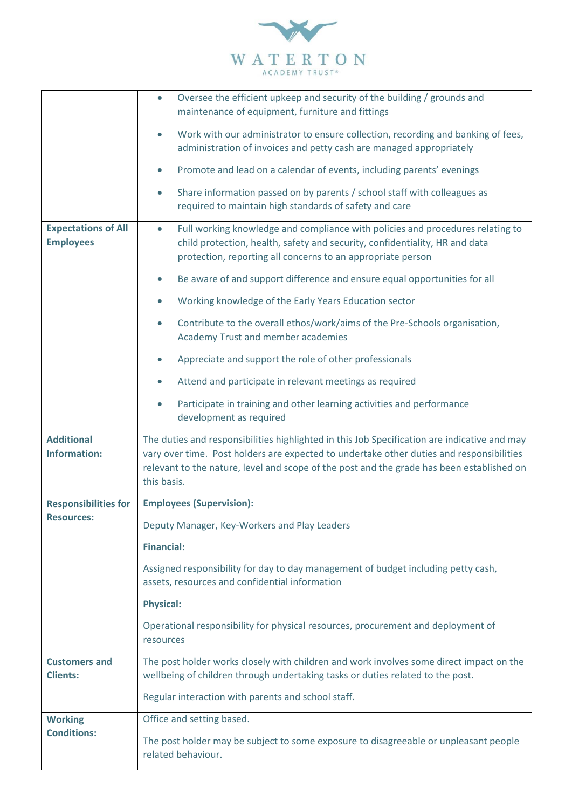

|                                                  | Oversee the efficient upkeep and security of the building / grounds and<br>$\bullet$<br>maintenance of equipment, furniture and fittings                                                                                                                                              |
|--------------------------------------------------|---------------------------------------------------------------------------------------------------------------------------------------------------------------------------------------------------------------------------------------------------------------------------------------|
|                                                  | Work with our administrator to ensure collection, recording and banking of fees,<br>$\bullet$<br>administration of invoices and petty cash are managed appropriately                                                                                                                  |
|                                                  | Promote and lead on a calendar of events, including parents' evenings                                                                                                                                                                                                                 |
|                                                  | Share information passed on by parents / school staff with colleagues as<br>$\bullet$<br>required to maintain high standards of safety and care                                                                                                                                       |
| <b>Expectations of All</b><br><b>Employees</b>   | Full working knowledge and compliance with policies and procedures relating to<br>$\bullet$<br>child protection, health, safety and security, confidentiality, HR and data<br>protection, reporting all concerns to an appropriate person                                             |
|                                                  | Be aware of and support difference and ensure equal opportunities for all<br>$\bullet$                                                                                                                                                                                                |
|                                                  | Working knowledge of the Early Years Education sector<br>$\bullet$                                                                                                                                                                                                                    |
|                                                  | Contribute to the overall ethos/work/aims of the Pre-Schools organisation,<br>$\bullet$<br>Academy Trust and member academies                                                                                                                                                         |
|                                                  | Appreciate and support the role of other professionals<br>$\bullet$                                                                                                                                                                                                                   |
|                                                  | Attend and participate in relevant meetings as required<br>$\bullet$                                                                                                                                                                                                                  |
|                                                  | Participate in training and other learning activities and performance<br>$\bullet$<br>development as required                                                                                                                                                                         |
| <b>Additional</b><br><b>Information:</b>         | The duties and responsibilities highlighted in this Job Specification are indicative and may<br>vary over time. Post holders are expected to undertake other duties and responsibilities<br>relevant to the nature, level and scope of the post and the grade has been established on |
|                                                  | this basis.                                                                                                                                                                                                                                                                           |
| <b>Responsibilities for</b><br><b>Resources:</b> | <b>Employees (Supervision):</b>                                                                                                                                                                                                                                                       |
|                                                  | Deputy Manager, Key-Workers and Play Leaders                                                                                                                                                                                                                                          |
|                                                  | <b>Financial:</b>                                                                                                                                                                                                                                                                     |
|                                                  | Assigned responsibility for day to day management of budget including petty cash,<br>assets, resources and confidential information                                                                                                                                                   |
|                                                  | <b>Physical:</b>                                                                                                                                                                                                                                                                      |
|                                                  | Operational responsibility for physical resources, procurement and deployment of<br>resources                                                                                                                                                                                         |
| <b>Customers and</b><br><b>Clients:</b>          | The post holder works closely with children and work involves some direct impact on the<br>wellbeing of children through undertaking tasks or duties related to the post.                                                                                                             |
|                                                  | Regular interaction with parents and school staff.                                                                                                                                                                                                                                    |
| <b>Working</b>                                   | Office and setting based.                                                                                                                                                                                                                                                             |
| <b>Conditions:</b>                               | The post holder may be subject to some exposure to disagreeable or unpleasant people<br>related behaviour.                                                                                                                                                                            |